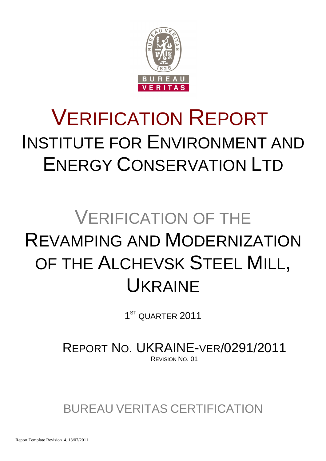

# VERIFICATION REPORT INSTITUTE FOR ENVIRONMENT AND ENERGY CONSERVATION LTD

# VERIFICATION OF THE REVAMPING AND MODERNIZATION OF THE ALCHEVSK STEEL MILL, UKRAINE

1<sup>ST</sup> QUARTER 2011

REPORT NO. UKRAINE-VER/0291/2011 REVISION NO. 01

BUREAU VERITAS CERTIFICATION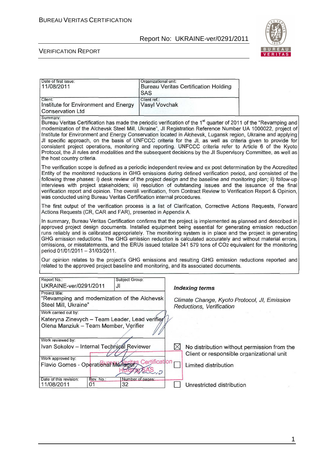

#### VERIFICATION REPORT

| Date of first issue:<br>11/08/2011                                                                                                                                                                                                                                                                                                                                                                                                                                                                                                                                                                                                                                                                                                               | Organizational unit:<br><b>SAS</b> | <b>Bureau Veritas Certification Holding</b>                              |                                             |  |
|--------------------------------------------------------------------------------------------------------------------------------------------------------------------------------------------------------------------------------------------------------------------------------------------------------------------------------------------------------------------------------------------------------------------------------------------------------------------------------------------------------------------------------------------------------------------------------------------------------------------------------------------------------------------------------------------------------------------------------------------------|------------------------------------|--------------------------------------------------------------------------|---------------------------------------------|--|
| Client:<br>Institute for Environment and Energy<br><b>Conservation Ltd</b>                                                                                                                                                                                                                                                                                                                                                                                                                                                                                                                                                                                                                                                                       | Client ref.:<br>Vasyl Vovchak      |                                                                          |                                             |  |
| Summary:<br>Bureau Veritas Certification has made the periodic verification of the 1 <sup>st</sup> quarter of 2011 of the "Revamping and<br>modernization of the Alchevsk Steel Mill, Ukraine", JI Registration Reference Number UA 1000022, project of<br>Institute for Environment and Energy Conservation located in Alchevsk, Lugansk region, Ukraine and applying<br>JI specific approach, on the basis of UNFCCC criteria for the JI, as well as criteria given to provide for<br>consistent project operations, monitoring and reporting. UNFCCC criteria refer to Article 6 of the Kyoto<br>Protocol, the JI rules and modalities and the subsequent decisions by the JI Supervisory Committee, as well as<br>the host country criteria. |                                    |                                                                          |                                             |  |
| The verification scope is defined as a periodic independent review and ex post determination by the Accredited<br>Entity of the monitored reductions in GHG emissions during defined verification period, and consisted of the<br>following three phases: i) desk review of the project design and the baseline and monitoring plan; ii) follow-up<br>interviews with project stakeholders; iii) resolution of outstanding issues and the issuance of the final<br>verification report and opinion. The overall verification, from Contract Review to Verification Report & Opinion,<br>was conducted using Bureau Veritas Certification internal procedures.                                                                                    |                                    |                                                                          |                                             |  |
| The first output of the verification process is a list of Clarification, Corrective Actions Requests, Forward<br>Actions Requests (CR, CAR and FAR), presented in Appendix A.                                                                                                                                                                                                                                                                                                                                                                                                                                                                                                                                                                    |                                    |                                                                          |                                             |  |
| In summary, Bureau Veritas Certification confirms that the project is implemented as planned and described in<br>approved project design documents. Installed equipment being essential for generating emission reduction<br>runs reliably and is calibrated appropriately. The monitoring system is in place and the project is generating<br>GHG emission reductions. The GHG emission reduction is calculated accurately and without material errors,<br>omissions, or misstatements, and the ERUs issued totalize 341 579 tons of CO2 equivalent for the monitoring<br>period 01/01/2011 - 31/03/2011.                                                                                                                                       |                                    |                                                                          |                                             |  |
| Our opinion relates to the project's GHG emissions and resulting GHG emission reductions reported and<br>related to the approved project baseline and monitoring, and its associated documents.                                                                                                                                                                                                                                                                                                                                                                                                                                                                                                                                                  |                                    |                                                                          |                                             |  |
| Report No.:<br>Subject Group:<br>UKRAINE-ver/0291/2011<br>JI                                                                                                                                                                                                                                                                                                                                                                                                                                                                                                                                                                                                                                                                                     |                                    | <b>Indexing terms</b>                                                    |                                             |  |
| Project title:<br>"Revamping and modernization of the Alchevsk<br>Steel Mill, Ukraine"                                                                                                                                                                                                                                                                                                                                                                                                                                                                                                                                                                                                                                                           |                                    | Climate Change, Kyoto Protocol, JI, Emission<br>Reductions, Verification |                                             |  |
| Work carried out by:<br>Kateryna Zinevych - Team Leader, Lead verifier<br>Olena Manziuk - Team Member, Verifier                                                                                                                                                                                                                                                                                                                                                                                                                                                                                                                                                                                                                                  |                                    |                                                                          |                                             |  |
| Work reviewed by:<br>Ivan Sokolov - Internal Technigal Reviewer<br>Work approved by:                                                                                                                                                                                                                                                                                                                                                                                                                                                                                                                                                                                                                                                             | ⋈                                  | Client or responsible organizational unit                                | No distribution without permission from the |  |
| Flavio Gomes - Operational Manager                                                                                                                                                                                                                                                                                                                                                                                                                                                                                                                                                                                                                                                                                                               | Certification<br>- 2               | Limited distribution                                                     |                                             |  |
| Date of this revision:<br>Rev. No.:<br>Number of pages:<br>11/08/2011<br>01<br>32                                                                                                                                                                                                                                                                                                                                                                                                                                                                                                                                                                                                                                                                |                                    | Unrestricted distribution                                                |                                             |  |

1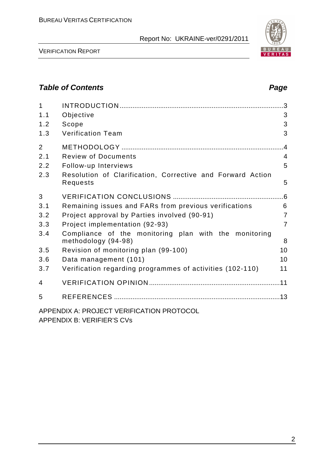

VERIFICATION REPORT

# **Table of Contents Page 2014**

| $\mathbf{1}$   |                                                                              |                |
|----------------|------------------------------------------------------------------------------|----------------|
| 1.1            | Objective                                                                    | 3              |
| 1.2            | Scope                                                                        | 3              |
| 1.3            | <b>Verification Team</b>                                                     | 3              |
| $\overline{2}$ |                                                                              | .4             |
| 2.1            | <b>Review of Documents</b>                                                   | $\overline{4}$ |
| 2.2            | Follow-up Interviews                                                         | 5              |
| 2.3            | Resolution of Clarification, Corrective and Forward Action<br>Requests       | 5              |
| 3              |                                                                              | .6             |
| 3.1            | Remaining issues and FARs from previous verifications                        | 6              |
| 3.2            | Project approval by Parties involved (90-91)                                 | $\overline{7}$ |
| 3.3            | Project implementation (92-93)                                               | $\overline{7}$ |
| 3.4            | Compliance of the monitoring plan with the monitoring<br>methodology (94-98) | 8              |
| 3.5            | Revision of monitoring plan (99-100)                                         | 10             |
| 3.6            | Data management (101)                                                        | 10             |
| 3.7            | Verification regarding programmes of activities (102-110)                    | 11             |
| 4              |                                                                              |                |
| 5              |                                                                              |                |
|                | APPENDIX A: PROJECT VERIFICATION PROTOCOL                                    |                |

APPENDIX B: VERIFIER'S CVs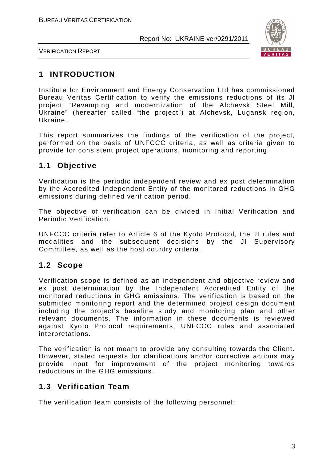

VERIFICATION REPORT

# **1 INTRODUCTION**

Institute for Environment and Energy Conservation Ltd has commissioned Bureau Veritas Certification to verify the emissions reductions of its JI project "Revamping and modernization of the Alchevsk Steel Mill, Ukraine" (hereafter called "the project") at Alchevsk, Lugansk region, Ukraine.

This report summarizes the findings of the verification of the project, performed on the basis of UNFCCC criteria, as well as criteria given to provide for consistent project operations, monitoring and reporting.

# **1.1 Objective**

Verification is the periodic independent review and ex post determination by the Accredited Independent Entity of the monitored reductions in GHG emissions during defined verification period.

The objective of verification can be divided in Initial Verification and Periodic Verification.

UNFCCC criteria refer to Article 6 of the Kyoto Protocol, the JI rules and modalities and the subsequent decisions by the JI Supervisory Committee, as well as the host country criteria.

# **1.2 Scope**

Verification scope is defined as an independent and objective review and ex post determination by the Independent Accredited Entity of the monitored reductions in GHG emissions. The verification is based on the submitted monitoring report and the determined project design document including the project's baseline study and monitoring plan and other relevant documents. The information in these documents is reviewed against Kyoto Protocol requirements, UNFCCC rules and associated interpretations.

The verification is not meant to provide any consulting towards the Client. However, stated requests for clarifications and/or corrective actions may provide input for improvement of the project monitoring towards reductions in the GHG emissions.

## **1.3 Verification Team**

The verification team consists of the following personnel: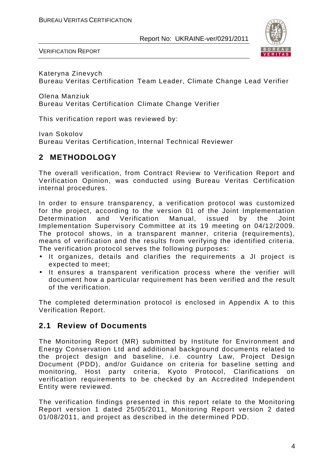

VERIFICATION REPORT

Kateryna Zinevych Bureau Veritas Certification Team Leader, Climate Change Lead Verifier

Olena Manziuk Bureau Veritas Certification Climate Change Verifier

This verification report was reviewed by:

Ivan Sokolov Bureau Veritas Certification, Internal Technical Reviewer

# **2 METHODOLOGY**

The overall verification, from Contract Review to Verification Report and Verification Opinion, was conducted using Bureau Veritas Certification internal procedures.

In order to ensure transparency, a verification protocol was customized for the project, according to the version 01 of the Joint Implementation Determination and Verification Manual, issued by the Joint Implementation Supervisory Committee at its 19 meeting on 04/12/2009. The protocol shows, in a transparent manner, criteria (requirements), means of verification and the results from verifying the identified criteria. The verification protocol serves the following purposes:

- It organizes, details and clarifies the requirements a JI project is expected to meet;
- It ensures a transparent verification process where the verifier will document how a particular requirement has been verified and the result of the verification.

The completed determination protocol is enclosed in Appendix A to this Verification Report.

## **2.1 Review of Documents**

The Monitoring Report (MR) submitted by Institute for Environment and Energy Conservation Ltd and additional background documents related to the project design and baseline, i.e. country Law, Project Design Document (PDD), and/or Guidance on criteria for baseline setting and monitoring, Host party criteria, Kyoto Protocol, Clarifications on verification requirements to be checked by an Accredited Independent Entity were reviewed.

The verification findings presented in this report relate to the Monitoring Report version 1 dated 25/05/2011, Monitoring Report version 2 dated 01/08/2011, and project as described in the determined PDD.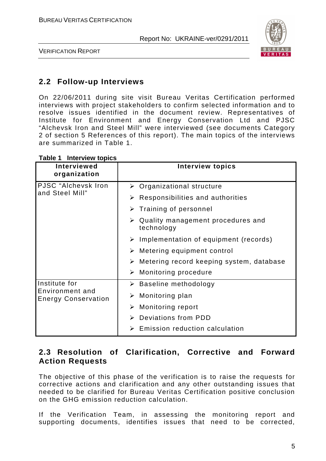

VERIFICATION REPORT

# **2.2 Follow-up Interviews**

On 22/06/2011 during site visit Bureau Veritas Certification performed interviews with project stakeholders to confirm selected information and to resolve issues identified in the document review. Representatives of Institute for Environment and Energy Conservation Ltd and PJSC "Alchevsk Iron and Steel Mill" were interviewed (see documents Category 2 of section 5 References of this report). The main topics of the interviews are summarized in Table 1.

| Interviewed<br>organization                   | <b>Interview topics</b>                                          |
|-----------------------------------------------|------------------------------------------------------------------|
| PJSC "Alchevsk Iron                           | $\triangleright$ Organizational structure                        |
| and Steel Mill"                               | $\triangleright$ Responsibilities and authorities                |
|                                               | $\triangleright$ Training of personnel                           |
|                                               | $\triangleright$ Quality management procedures and<br>technology |
|                                               | $\triangleright$ Implementation of equipment (records)           |
|                                               | $\triangleright$ Metering equipment control                      |
|                                               | $\triangleright$ Metering record keeping system, database        |
|                                               | $\triangleright$ Monitoring procedure                            |
| Institute for                                 | $\triangleright$ Baseline methodology                            |
| Environment and<br><b>Energy Conservation</b> | Monitoring plan<br>➤                                             |
|                                               | $\triangleright$ Monitoring report                               |
|                                               | > Deviations from PDD                                            |
|                                               | Emission reduction calculation<br>➤                              |

#### **Table 1 Interview topics**

## **2.3 Resolution of Clarification, Corrective and Forward Action Requests**

The objective of this phase of the verification is to raise the requests for corrective actions and clarification and any other outstanding issues that needed to be clarified for Bureau Veritas Certification positive conclusion on the GHG emission reduction calculation.

If the Verification Team, in assessing the monitoring report and supporting documents, identifies issues that need to be corrected,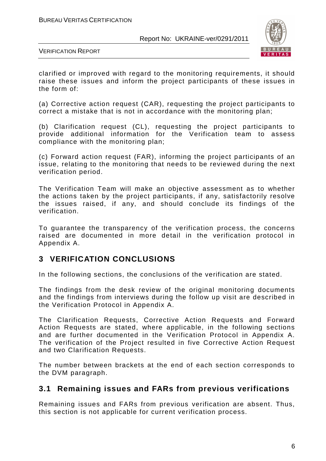

VERIFICATION REPORT

clarified or improved with regard to the monitoring requirements, it should raise these issues and inform the project participants of these issues in the form of:

(a) Corrective action request (CAR), requesting the project participants to correct a mistake that is not in accordance with the monitoring plan;

(b) Clarification request (CL), requesting the project participants to provide additional information for the Verification team to assess compliance with the monitoring plan;

(c) Forward action request (FAR), informing the project participants of an issue, relating to the monitoring that needs to be reviewed during the next verification period.

The Verification Team will make an objective assessment as to whether the actions taken by the project participants, if any, satisfactorily resolve the issues raised, if any, and should conclude its findings of the verification.

To guarantee the transparency of the verification process, the concerns raised are documented in more detail in the verification protocol in Appendix A.

## **3 VERIFICATION CONCLUSIONS**

In the following sections, the conclusions of the verification are stated.

The findings from the desk review of the original monitoring documents and the findings from interviews during the follow up visit are described in the Verification Protocol in Appendix A.

The Clarification Requests, Corrective Action Requests and Forward Action Requests are stated, where applicable, in the following sections and are further documented in the Verification Protocol in Appendix A. The verification of the Project resulted in five Corrective Action Request and two Clarification Requests.

The number between brackets at the end of each section corresponds to the DVM paragraph.

## **3.1 Remaining issues and FARs from previous verifications**

Remaining issues and FARs from previous verification are absent. Thus, this section is not applicable for current verification process.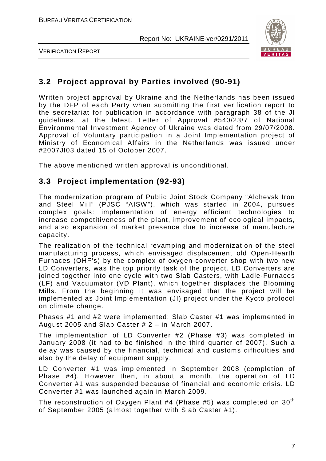

VERIFICATION REPORT

# **3.2 Project approval by Parties involved (90-91)**

Written project approval by Ukraine and the Netherlands has been issued by the DFP of each Party when submitting the first verification report to the secretariat for publication in accordance with paragraph 38 of the JI guidelines, at the latest. Letter of Approval #540/23/7 of National Environmental Investment Agency of Ukraine was dated from 29/07/2008. Approval of Voluntary participation in a Joint Implementation project of Ministry of Economical Affairs in the Netherlands was issued under #2007JI03 dated 15 of October 2007.

The above mentioned written approval is unconditional.

## **3.3 Project implementation (92-93)**

The modernization program of Public Joint Stock Company "Alchevsk Iron and Steel Mill" (PJSC "AISW"), which was started in 2004, pursues complex goals: implementation of energy efficient technologies to increase competitiveness of the plant, improvement of ecological impacts, and also expansion of market presence due to increase of manufacture capacity.

The realization of the technical revamping and modernization of the steel manufacturing process, which envisaged displacement old Open-Hearth Furnaces (OHF's) by the complex of oxygen-converter shop with two new LD Converters, was the top priority task of the project. LD Converters are joined together into one cycle with two Slab Casters, with Ladle-Furnaces (LF) and Vacuumator (VD Plant), which together displaces the Blooming Mills. From the beginning it was envisaged that the project will be implemented as Joint Implementation (JI) project under the Kyoto protocol on climate change.

Phases #1 and #2 were implemented: Slab Caster #1 was implemented in August 2005 and Slab Caster # 2 – in March 2007.

The implementation of LD Converter #2 (Phase #3) was completed in January 2008 (it had to be finished in the third quarter of 2007). Such a delay was caused by the financial, technical and customs difficulties and also by the delay of equipment supply.

LD Converter #1 was implemented in September 2008 (completion of Phase #4). However then, in about a month, the operation of LD Converter #1 was suspended because of financial and economic crisis. LD Converter #1 was launched again in March 2009.

The reconstruction of Oxygen Plant #4 (Phase #5) was completed on  $30<sup>th</sup>$ of September 2005 (almost together with Slab Caster #1).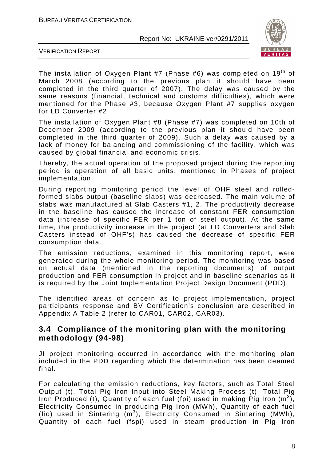

VERIFICATION REPORT

The installation of Oxygen Plant #7 (Phase #6) was completed on  $19<sup>th</sup>$  of March 2008 (according to the previous plan it should have been completed in the third quarter of 2007). The delay was caused by the same reasons (financial, technical and customs difficulties), which were mentioned for the Phase #3, because Oxygen Plant #7 supplies oxygen for LD Converter #2.

The installation of Oxygen Plant #8 (Phase #7) was completed on 10th of December 2009 (according to the previous plan it should have been completed in the third quarter of 2009). Such a delay was caused by a lack of money for balancing and commissioning of the facility, which was caused by global financial and economic crisis.

Thereby, the actual operation of the proposed project during the reporting period is operation of all basic units, mentioned in Phases of project implementation.

During reporting monitoring period the level of OHF steel and rolledformed slabs output (baseline slabs) was decreased. The main volume of slabs was manufactured at Slab Casters #1, 2. The productivity decrease in the baseline has caused the increase of constant FER consumption data (increase of specific FER per 1 ton of steel output). At the same time, the productivity increase in the project (at LD Converters and Slab Casters instead of OHF's) has caused the decrease of specific FER consumption data.

The emission reductions, examined in this monitoring report, were generated during the whole monitoring period. The monitoring was based on actual data (mentioned in the reporting documents) of output production and FER consumption in project and in baseline scenarios as it is required by the Joint Implementation Project Design Document (PDD).

The identified areas of concern as to project implementation, project participants response and BV Certification's conclusion are described in Appendix A Table 2 (refer to CAR01, CAR02, CAR03).

## **3.4 Compliance of the monitoring plan with the monitoring methodology (94-98)**

JI project monitoring occurred in accordance with the monitoring plan included in the PDD regarding which the determination has been deemed final.

For calculating the emission reductions, key factors, such as Total Steel Output (t), Total Pig Iron Input into Steel Making Process (t), Total Pig Iron Produced (t), Quantity of each fuel (fpi) used in making Pig Iron  $(m^3)$ , Electricity Consumed in producing Pig Iron (MWh), Quantity of each fuel (fio) used in Sintering  $(m^3)$ , Electricity Consumed in Sintering (MWh), Quantity of each fuel (fspi) used in steam production in Pig Iron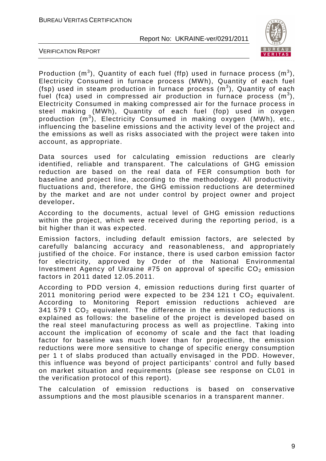

VERIFICATION REPORT

Production (m<sup>3</sup>), Quantity of each fuel (ffp) used in furnace process (m<sup>3</sup>), Electricity Consumed in furnace process (MWh), Quantity of each fuel (fsp) used in steam production in furnace process  $(m^3)$ , Quantity of each fuel (fca) used in compressed air production in furnace process  $(m^3)$ , Electricity Consumed in making compressed air for the furnace process in steel making (MWh), Quantity of each fuel (fop) used in oxygen production (m<sup>3</sup>), Electricity Consumed in making oxygen (MWh), etc., influencing the baseline emissions and the activity level of the project and the emissions as well as risks associated with the project were taken into account, as appropriate.

Data sources used for calculating emission reductions are clearly identified, reliable and transparent. The calculations of GHG emission reduction are based on the real data of FER consumption both for baseline and project line, according to the methodology. All productivity fluctuations and, therefore, the GHG emission reductions are determined by the market and are not under control by project owner and project developer**.** 

According to the documents, actual level of GHG emission reductions within the project, which were received during the reporting period, is a bit higher than it was expected.

Emission factors, including default emission factors, are selected by carefully balancing accuracy and reasonableness, and appropriately justified of the choice. For instance, there is used carbon emission factor for electricity, approved by Order of the National Environmental Investment Agency of Ukraine #75 on approval of specific  $CO<sub>2</sub>$  emission factors in 2011 dated 12.05.2011.

According to PDD version 4, emission reductions during first quarter of 2011 monitoring period were expected to be 234 121 t  $CO<sub>2</sub>$  equivalent. According to Monitoring Report emission reductions achieved are 341 579  $t$  CO<sub>2</sub> equivalent. The difference in the emission reductions is explained as follows: the baseline of the project is developed based on the real steel manufacturing process as well as projectline. Taking into account the implication of economy of scale and the fact that loading factor for baseline was much lower than for projectline, the emission reductions were more sensitive to change of specific energy consumption per 1 t of slabs produced than actually envisaged in the PDD. However, this influence was beyond of project participants' control and fully based on market situation and requirements (please see response on CL01 in the verification protocol of this report).

The calculation of emission reductions is based on conservative assumptions and the most plausible scenarios in a transparent manner.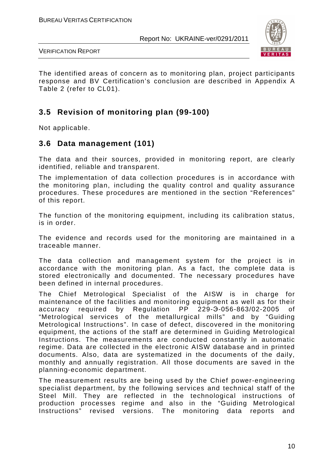

VERIFICATION REPORT

The identified areas of concern as to monitoring plan, project participants response and BV Certification's conclusion are described in Appendix A Table 2 (refer to CL01).

# **3.5 Revision of monitoring plan (99-100)**

Not applicable.

## **3.6 Data management (101)**

The data and their sources, provided in monitoring report, are clearly identified, reliable and transparent.

The implementation of data collection procedures is in accordance with the monitoring plan, including the quality control and quality assurance procedures. These procedures are mentioned in the section "References" of this report.

The function of the monitoring equipment, including its calibration status, is in order.

The evidence and records used for the monitoring are maintained in a traceable manner.

The data collection and management system for the project is in accordance with the monitoring plan. As a fact, the complete data is stored electronically and documented. The necessary procedures have been defined in internal procedures.

The Chief Metrological Specialist of the AISW is in charge for maintenance of the facilities and monitoring equipment as well as for their accuracy required by Regulation PP 229-Э-056-863/02-2005 of "Metrological services of the metallurgical mills" and by "Guiding Metrological Instructions". In case of defect, discovered in the monitoring equipment, the actions of the staff are determined in Guiding Metrological Instructions. The measurements are conducted constantly in automatic regime. Data are collected in the electronic AISW database and in printed documents. Also, data are systematized in the documents of the daily, monthly and annually registration. All those documents are saved in the planning-economic department.

The measurement results are being used by the Chief power-engineering specialist department, by the following services and technical staff of the Steel Mill. They are reflected in the technological instructions of production processes regime and also in the "Guiding Metrological Instructions" revised versions. The monitoring data reports and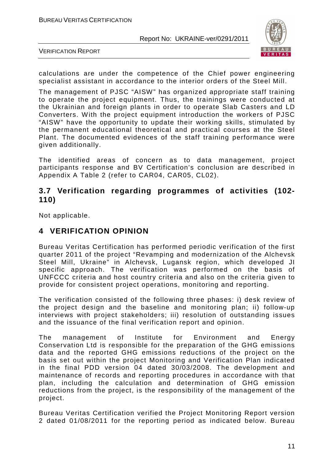

VERIFICATION REPORT

calculations are under the competence of the Chief power engineering specialist assistant in accordance to the interior orders of the Steel Mill.

The management of PJSC "AISW" has organized appropriate staff training to operate the project equipment. Thus, the trainings were conducted at the Ukrainian and foreign plants in order to operate Slab Casters and LD Converters. With the project equipment introduction the workers of PJSC "AISW" have the opportunity to update their working skills, stimulated by the permanent educational theoretical and practical courses at the Steel Plant. The documented evidences of the staff training performance were given additionally.

The identified areas of concern as to data management, project participants response and BV Certification's conclusion are described in Appendix A Table 2 (refer to CAR04, CAR05, CL02).

#### **3.7 Verification regarding programmes of activities (102- 110)**

Not applicable.

# **4 VERIFICATION OPINION**

Bureau Veritas Certification has performed periodic verification of the first quarter 2011 of the project "Revamping and modernization of the Alchevsk Steel Mill, Ukraine" in Alchevsk, Lugansk region, which developed JI specific approach. The verification was performed on the basis of UNFCCC criteria and host country criteria and also on the criteria given to provide for consistent project operations, monitoring and reporting.

The verification consisted of the following three phases: i) desk review of the project design and the baseline and monitoring plan; ii) follow-up interviews with project stakeholders; iii) resolution of outstanding issues and the issuance of the final verification report and opinion.

The management of Institute for Environment and Energy Conservation Ltd is responsible for the preparation of the GHG emissions data and the reported GHG emissions reductions of the project on the basis set out within the project Monitoring and Verification Plan indicated in the final PDD version 04 dated 30/03/2008. The development and maintenance of records and reporting procedures in accordance with that plan, including the calculation and determination of GHG emission reductions from the project, is the responsibility of the management of the project.

Bureau Veritas Certification verified the Project Monitoring Report version 2 dated 01/08/2011 for the reporting period as indicated below. Bureau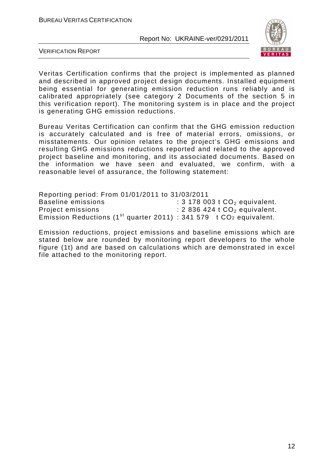

VERIFICATION REPORT

Veritas Certification confirms that the project is implemented as planned and described in approved project design documents. Installed equipment being essential for generating emission reduction runs reliably and is calibrated appropriately (see category 2 Documents of the section 5 in this verification report). The monitoring system is in place and the project is generating GHG emission reductions.

Bureau Veritas Certification can confirm that the GHG emission reduction is accurately calculated and is free of material errors, omissions, or misstatements. Our opinion relates to the project's GHG emissions and resulting GHG emissions reductions reported and related to the approved project baseline and monitoring, and its associated documents. Based on the information we have seen and evaluated, we confirm, with a reasonable level of assurance, the following statement:

Reporting period: From 01/01/2011 to 31/03/2011 Baseline emissions  $\qquad \qquad$ : 3 178 003 t  $CO<sub>2</sub>$  equivalent. Project emissions : 2 836 424 t CO<sub>2</sub> equivalent. Emission Reductions (1<sup>st</sup> quarter 2011) : 341 579 t CO<sub>2</sub> equivalent.

Emission reductions, project emissions and baseline emissions which are stated below are rounded by monitoring report developers to the whole figure (1t) and are based on calculations which are demonstrated in excel file attached to the monitoring report.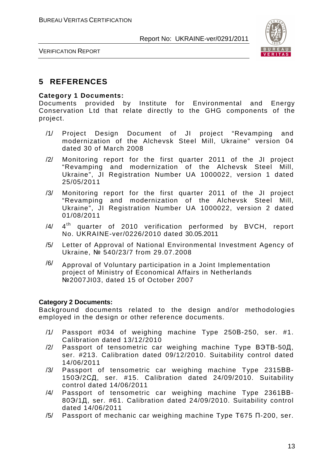

VERIFICATION REPORT

## **5 REFERENCES**

#### **Category 1 Documents:**

Documents provided by Institute for Environmental and Energy Conservation Ltd that relate directly to the GHG components of the project.

- /1/ Project Design Document of JI project "Revamping and modernization of the Alchevsk Steel Mill, Ukraine" version 04 dated 30 of March 2008
- /2/ Monitoring report for the first quarter 2011 of the JI project "Revamping and modernization of the Alchevsk Steel Mill, Ukraine", JI Registration Number UA 1000022, version 1 dated 25/05/2011
- /3/ Monitoring report for the first quarter 2011 of the JI project "Revamping and modernization of the Alchevsk Steel Mill, Ukraine", JI Registration Number UA 1000022, version 2 dated 01/08/2011
- $/4/$ 4<sup>th</sup> quarter of 2010 verification performed by BVCH, report No. UKRAINE-ver/0226/2010 dated 30.05.2011
- /5/ Letter of Approval of National Environmental Investment Agency of Ukraine, № 540/23/7 from 29.07.2008
- $\frac{16}{10}$  Approval of Voluntary participation in a Joint Implementation project of Ministry of Economical Affairs in Netherlands №2007JI03, dated 15 of October 2007

#### **Category 2 Documents:**

Background documents related to the design and/or methodologies employed in the design or other reference documents.

- /1/ Passport #034 of weighing machine Type 250В-250, ser. #1. Calibration dated 13/12/2010
- /2/ Passport of tensometric car weighing machine Type ВЭТВ-50Д, ser. #213. Calibration dated 09/12/2010. Suitability control dated 14/06/2011
- /3/ Passport of tensometric car weighing machine Type 2315ВВ-150Э/2СД, ser. #15. Calibration dated 24/09/2010. Suitability control dated 14/06/2011
- /4/ Passport of tensometric car weighing machine Type 2361ВВ-80Э/1Д, ser. #61. Calibration dated 24/09/2010. Suitability control dated 14/06/2011
- /5/ Passport of mechanic car weighing machine Type Т675 П-200, ser.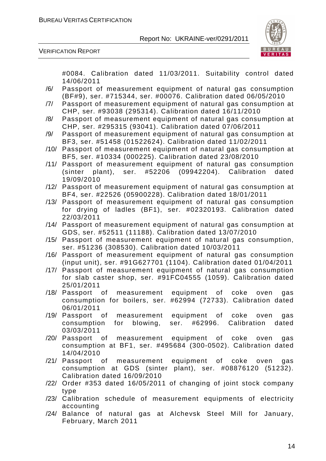

VERIFICATION REPORT

#0084. Calibration dated 11/03/2011. Suitability control dated 14/06/2011

- /6/ Passport of measurement equipment of natural gas consumption (BF#9), ser. #715344, ser. #00076. Calibration dated 06/05/2010
- /7/ Passport of measurement equipment of natural gas consumption at CHP, ser. #93038 (295314). Calibration dated 16/11/2010
- /8/ Passport of measurement equipment of natural gas consumption at CHP, ser. #295315 (93041). Calibration dated 07/06/2011
- /9/ Passport of measurement equipment of natural gas consumption at BF3, ser. #51458 (01522624). Calibration dated 11/02/2011
- /10/ Passport of measurement equipment of natural gas consumption at BF5, ser. #10334 (000225). Calibration dated 23/08/2010
- /11/ Passport of measurement equipment of natural gas consumption (sinter plant), ser. #52206 (09942204). Calibration dated 19/09/2010
- /12/ Passport of measurement equipment of natural gas consumption at BF4, ser. #22526 (05900228). Calibration dated 18/01/2011
- /13/ Passport of measurement equipment of natural gas consumption for drying of ladles (BF1), ser. #02320193. Calibration dated 22/03/2011
- /14/ Passport of measurement equipment of natural gas consumption at GDS, ser. #52511 (11188). Calibration dated 13/07/2010
- /15/ Passport of measurement equipment of natural gas consumption, ser. #51236 (308530). Calibration dated 10/03/2011
- /16/ Passport of measurement equipment of natural gas consumption (input unit), ser. #91G627701 (1104). Calibration dated 01/04/2011
- /17/ Passport of measurement equipment of natural gas consumption for slab caster shop, ser. #91FС04555 (1059). Calibration dated 25/01/2011
- /18/ Passport of measurement equipment of coke oven gas consumption for boilers, ser. #62994 (72733). Calibration dated 06/01/2011
- /19/ Passport of measurement equipment of coke oven gas consumption for blowing, ser. #62996. Calibration dated 03/03/2011
- /20/ Passport of measurement equipment of coke oven gas consumption at BF1, ser. #495684 (300-0502). Calibration dated 14/04/2010
- /21/ Passport of measurement equipment of coke oven gas consumption at GDS (sinter plant), ser. #08876120 (51232). Calibration dated 16/09/2010
- /22/ Order #353 dated 16/05/2011 of changing of joint stock company type
- /23/ Calibration schedule of measurement equipments of electricity accounting
- /24/ Balance of natural gas at Alchevsk Steel Mill for January, February, March 2011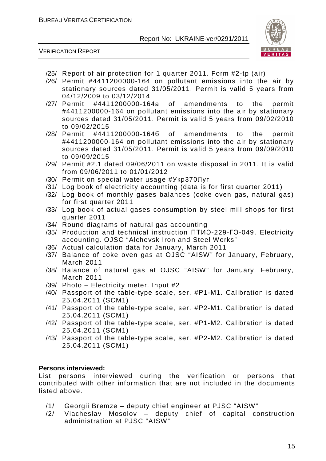

VERIFICATION REPORT

- /25/ Report of air protection for 1 quarter 2011. Form #2-tp (air)
- /26/ Permit #4411200000-164 on pollutant emissions into the air by stationary sources dated 31/05/2011. Permit is valid 5 years from 04/12/2009 to 03/12/2014
- /27/ Permit #4411200000-164а of amendments to the permit #4411200000-164 on pollutant emissions into the air by stationary sources dated 31/05/2011. Permit is valid 5 years from 09/02/2010 to 09/02/2015
- /28/ Permit #4411200000-164б of amendments to the permit #4411200000-164 on pollutant emissions into the air by stationary sources dated 31/05/2011. Permit is valid 5 years from 09/09/2010 to 09/09/2015
- /29/ Permit #2.1 dated 09/06/2011 on waste disposal in 2011. It is valid from 09/06/2011 to 01/01/2012
- /30/ Permit on special water usage #Укр370Луг
- /31/ Log book of electricity accounting (data is for first quarter 2011)
- /32/ Log book of monthly gases balances (coke oven gas, natural gas) for first quarter 2011
- /33/ Log book of actual gases consumption by steel mill shops for first quarter 2011
- /34/ Round diagrams of natural gas accounting
- /35/ Production and technical instruction ПТИЭ-229-ГЭ-049. Electricity accounting. OJSC "Alchevsk Iron and Steel Works"
- /36/ Actual calculation data for January, March 2011
- /37/ Balance of coke oven gas at OJSC "AISW" for January, February, March 2011
- /38/ Balance of natural gas at OJSC "AISW" for January, February, March 2011
- /39/ Photo Electricity meter. Input #2
- /40/ Passport of the table-type scale, ser. #Р1-М1. Calibration is dated 25.04.2011 (SCM1)
- /41/ Passport of the table-type scale, ser. #Р2-М1. Calibration is dated 25.04.2011 (SCM1)
- /42/ Passport of the table-type scale, ser. #Р1-М2. Calibration is dated 25.04.2011 (SCM1)
- /43/ Passport of the table-type scale, ser. #Р2-М2. Calibration is dated 25.04.2011 (SCM1)

#### **Persons interviewed:**

List persons interviewed during the verification or persons that contributed with other information that are not included in the documents listed above.

- /1/ Georgii Bremze deputy chief engineer at PJSC "AISW"
- /2/ Viacheslav Mosolov deputy chief of capital construction administration at PJSC "AISW"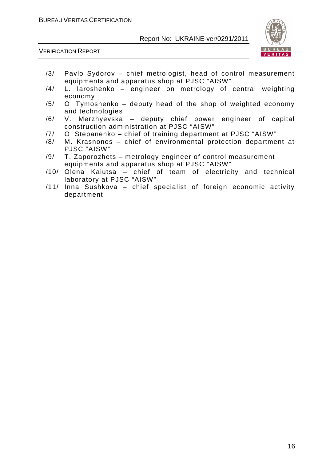

VERIFICATION REPORT

- /3/ Pavlo Sydorov chief metrologist, head of control measurement equipments and apparatus shop at PJSC "AISW"
- /4/ L. Iaroshenko engineer on metrology of central weighting economy
- /5/ O. Tymoshenko deputy head of the shop of weighted economy and technologies
- /6/ V. Merzhyevska deputy chief power engineer of capital construction administration at PJSC "AISW"
- /7/ O. Stepanenko chief of training department at PJSC "AISW"
- /8/ M. Krasnonos chief of environmental protection department at PJSC "AISW"
- /9/ T. Zaporozhets metrology engineer of control measurement equipments and apparatus shop at PJSC "AISW"
- /10/ Olena Kaiutsa chief of team of electricity and technical laboratory at PJSC "AISW"
- /11/ Inna Sushkova chief specialist of foreign economic activity department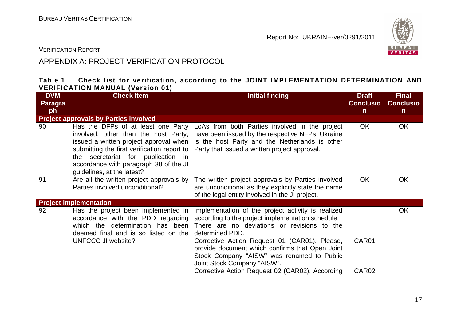

VERIFICATION REPORT

# APPENDIX A: PROJECT VERIFICATION PROTOCOL

#### **Table 1 Check list for verification, according to the JOINT IMPLEMENTATION DETERMINATION AND VERIFICATION MANUAL (Version 01)**

| <b>DVM</b>     | <b>Check Item</b>                                                                                                                                                                                                                                                                 | <b>Initial finding</b>                                                                                                                                                                                                                                                                                                                                                                                        | <b>Draft</b>               | <b>Final</b>     |
|----------------|-----------------------------------------------------------------------------------------------------------------------------------------------------------------------------------------------------------------------------------------------------------------------------------|---------------------------------------------------------------------------------------------------------------------------------------------------------------------------------------------------------------------------------------------------------------------------------------------------------------------------------------------------------------------------------------------------------------|----------------------------|------------------|
| <b>Paragra</b> |                                                                                                                                                                                                                                                                                   |                                                                                                                                                                                                                                                                                                                                                                                                               | <b>Conclusio</b>           | <b>Conclusio</b> |
| ph             |                                                                                                                                                                                                                                                                                   |                                                                                                                                                                                                                                                                                                                                                                                                               | $\mathsf{n}$               | $\mathsf{n}$     |
|                | <b>Project approvals by Parties involved</b>                                                                                                                                                                                                                                      |                                                                                                                                                                                                                                                                                                                                                                                                               |                            |                  |
| 90             | Has the DFPs of at least one Party<br>involved, other than the host Party,<br>issued a written project approval when<br>submitting the first verification report to<br>the secretariat for publication in<br>accordance with paragraph 38 of the JI<br>guidelines, at the latest? | LoAs from both Parties involved in the project<br>have been issued by the respective NFPs. Ukraine<br>is the host Party and the Netherlands is other<br>Party that issued a written project approval.                                                                                                                                                                                                         | OK.                        | OK.              |
| 91             | Are all the written project approvals by<br>Parties involved unconditional?                                                                                                                                                                                                       | The written project approvals by Parties involved<br>are unconditional as they explicitly state the name<br>of the legal entity involved in the JI project.                                                                                                                                                                                                                                                   | <b>OK</b>                  | <b>OK</b>        |
|                | <b>Project implementation</b>                                                                                                                                                                                                                                                     |                                                                                                                                                                                                                                                                                                                                                                                                               |                            |                  |
| 92             | Has the project been implemented in<br>accordance with the PDD regarding<br>which the determination has been<br>deemed final and is so listed on the<br><b>UNFCCC JI website?</b>                                                                                                 | Implementation of the project activity is realized<br>according to the project implementation schedule.<br>There are no deviations or revisions to the<br>determined PDD.<br>Corrective Action Request 01 (CAR01). Please,<br>provide document which confirms that Open Joint<br>Stock Company "AISW" was renamed to Public<br>Joint Stock Company "AISW".<br>Corrective Action Request 02 (CAR02). According | CAR01<br>CAR <sub>02</sub> | <b>OK</b>        |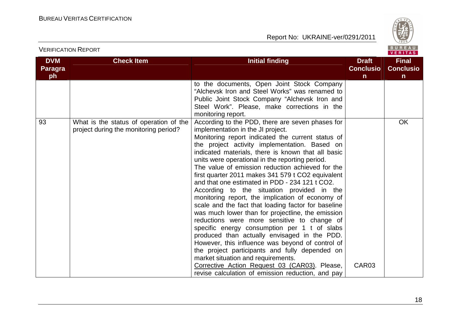VERIFICATION REPORT

Report No: UKRAINE-ver/0291/2011



#### VERITAS **DVM Check Item Initial finding Check Item Initial finding Check Item Initial finding Initial finding Initial finding Final Paragra Conclusio Conclusioph nn** to the documents, Open Joint Stock Company "Alchevsk Iron and Steel Works" was renamed to Public Joint Stock Company "Alchevsk Iron and Steel Work". Please, make corrections in the monitoring report. 93 What is the status of operation of the According to the PDD, there are seven phases for **OK** project during the monitoring period? implementation in the JI project. Monitoring report indicated the current status of the project activity implementation. Based on indicated materials, there is known that all basic units were operational in the reporting period. The value of emission reduction achieved for the first quarter 2011 makes 341 579 t CO2 equivalent and that one estimated in PDD - 234 121 t CO2. According to the situation provided in the monitoring report, the implication of economy of scale and the fact that loading factor for baseline was much lower than for projectline, the emission reductions were more sensitive to change of specific energy consumption per 1 t of slabs produced than actually envisaged in the PDD. However, this influence was beyond of control of the project participants and fully depended on market situation and requirements. CAR03 Corrective Action Request 03 (CAR03). Please, revise calculation of emission reduction, and pay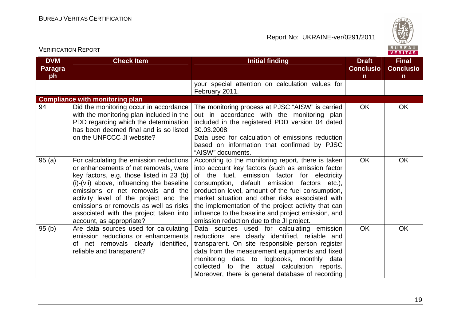

|                                    | <b>VERIFICATION REPORT</b>                                                                                                                                                                                                                                                                                                                                              |                                                                                                                                                                                                                                                                                                                                                                                                                                                                             |                                                  | BUREAU<br><b>VERITAS</b>                         |
|------------------------------------|-------------------------------------------------------------------------------------------------------------------------------------------------------------------------------------------------------------------------------------------------------------------------------------------------------------------------------------------------------------------------|-----------------------------------------------------------------------------------------------------------------------------------------------------------------------------------------------------------------------------------------------------------------------------------------------------------------------------------------------------------------------------------------------------------------------------------------------------------------------------|--------------------------------------------------|--------------------------------------------------|
| <b>DVM</b><br><b>Paragra</b><br>ph | <b>Check Item</b>                                                                                                                                                                                                                                                                                                                                                       | <b>Initial finding</b>                                                                                                                                                                                                                                                                                                                                                                                                                                                      | <b>Draft</b><br><b>Conclusio</b><br>$\mathsf{n}$ | <b>Final</b><br><b>Conclusio</b><br>$\mathsf{n}$ |
|                                    |                                                                                                                                                                                                                                                                                                                                                                         | your special attention on calculation values for<br>February 2011.                                                                                                                                                                                                                                                                                                                                                                                                          |                                                  |                                                  |
|                                    | <b>Compliance with monitoring plan</b>                                                                                                                                                                                                                                                                                                                                  |                                                                                                                                                                                                                                                                                                                                                                                                                                                                             |                                                  |                                                  |
| 94                                 | Did the monitoring occur in accordance<br>with the monitoring plan included in the<br>PDD regarding which the determination<br>has been deemed final and is so listed<br>on the UNFCCC JI website?                                                                                                                                                                      | The monitoring process at PJSC "AISW" is carried<br>out in accordance with the monitoring plan<br>included in the registered PDD version 04 dated<br>30.03.2008.<br>Data used for calculation of emissions reduction<br>based on information that confirmed by PJSC<br>"AISW" documents.                                                                                                                                                                                    | <b>OK</b>                                        | OK                                               |
| 95(a)                              | For calculating the emission reductions<br>or enhancements of net removals, were<br>key factors, e.g. those listed in 23 (b)<br>(i)-(vii) above, influencing the baseline<br>emissions or net removals and the<br>activity level of the project and the<br>emissions or removals as well as risks<br>associated with the project taken into<br>account, as appropriate? | According to the monitoring report, there is taken<br>into account key factors (such as emission factor<br>of the fuel, emission factor for electricity<br>consumption, default emission factors etc.),<br>production level, amount of the fuel consumption,<br>market situation and other risks associated with<br>the implementation of the project activity that can<br>influence to the baseline and project emission, and<br>emission reduction due to the JI project. | <b>OK</b>                                        | <b>OK</b>                                        |
| 95(b)                              | Are data sources used for calculating<br>emission reductions or enhancements<br>of net removals clearly identified,<br>reliable and transparent?                                                                                                                                                                                                                        | Data sources used for calculating emission<br>reductions are clearly identified, reliable and<br>transparent. On site responsible person register<br>data from the measurement equipments and fixed<br>monitoring data to logbooks, monthly data<br>collected to the actual calculation reports.<br>Moreover, there is general database of recording                                                                                                                        | <b>OK</b>                                        | <b>OK</b>                                        |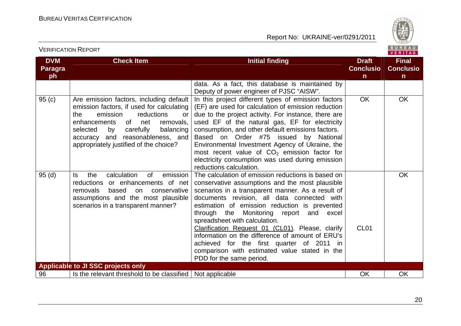

**Final Conclusion** 

VERITAS

**OK** 

**DVM Paragraph Check Item Initial finding Check Item Initial finding Check Item Initial finding Initial finding Initial finding Conclusion**data. As a fact, this database is maintained by Deputy of power engineer of PJSC "AISW". 95 (c)  $\qquad$  | Are emission factors, including default | In this project different types of emission factors emission factors, if used for calculating the emission reductions or enhancements of net removals, selected by carefully balancing accuracy and reasonableness, and appropriately justified of the choice? (EF) are used for calculation of emission reduction due to the project activity. For instance, there are used EF of the natural gas, EF for electricity consumption, and other default emissions factors. Based on Order #75 issued by National Environmental Investment Agency of Ukraine, the most recent value of  $CO<sub>2</sub>$  emission factor for electricity consumption was used during emission reductions calculation. The calculation of emission reductions is based on OK OK 95 (d) Is the calculation of emission reductions or enhancements of net removals based on conservative assumptions and the most plausible scenarios in a transparent manner? conservative assumptions and the most plausible scenarios in a transparent manner. As a result of documents revision, all data connected with estimation of emission reduction is prevented through the Monitoring report and excel spreadsheet with calculation. Clarification Request 01 (CL01). Please, clarify information on the difference of amount of ERU's achieved for the first quarter of 2011 in comparison with estimated value stated in the PDD for the same period. CL<sub>01</sub> **Applicable to JI SSC projects only** 

96 Solution is the relevant threshold to be classified Not applicable **OK** Not applicable Not Applicable OK

VERIFICATION REPORT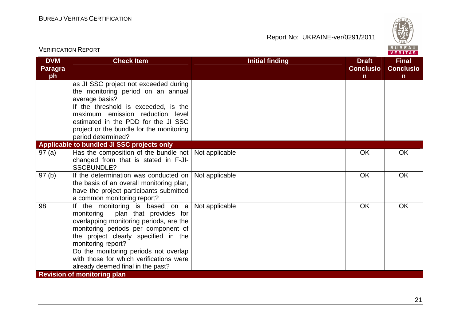

| <b>VERIFICATION REPORT</b>         |                                                                                                                                                                                                                                                                                                                                                  |                        |                                       | BUREAU<br>VERITAS                                |
|------------------------------------|--------------------------------------------------------------------------------------------------------------------------------------------------------------------------------------------------------------------------------------------------------------------------------------------------------------------------------------------------|------------------------|---------------------------------------|--------------------------------------------------|
| <b>DVM</b><br><b>Paragra</b><br>ph | <b>Check Item</b>                                                                                                                                                                                                                                                                                                                                | <b>Initial finding</b> | <b>Draft</b><br><b>Conclusio</b><br>n | <b>Final</b><br><b>Conclusio</b><br>$\mathsf{n}$ |
|                                    | as JI SSC project not exceeded during<br>the monitoring period on an annual<br>average basis?<br>If the threshold is exceeded, is the<br>maximum emission reduction level<br>estimated in the PDD for the JI SSC<br>project or the bundle for the monitoring<br>period determined?                                                               |                        |                                       |                                                  |
|                                    | Applicable to bundled JI SSC projects only                                                                                                                                                                                                                                                                                                       |                        |                                       |                                                  |
| 97(a)                              | Has the composition of the bundle not<br>changed from that is stated in F-JI-<br><b>SSCBUNDLE?</b>                                                                                                                                                                                                                                               | Not applicable         | <b>OK</b>                             | OK                                               |
| 97(b)                              | If the determination was conducted on<br>the basis of an overall monitoring plan,<br>have the project participants submitted<br>a common monitoring report?                                                                                                                                                                                      | Not applicable         | <b>OK</b>                             | <b>OK</b>                                        |
| 98                                 | If the monitoring is based on a<br>plan that provides for<br>monitoring<br>overlapping monitoring periods, are the<br>monitoring periods per component of<br>the project clearly specified in the<br>monitoring report?<br>Do the monitoring periods not overlap<br>with those for which verifications were<br>already deemed final in the past? | Not applicable         | <b>OK</b>                             | OK                                               |
|                                    | <b>Revision of monitoring plan</b>                                                                                                                                                                                                                                                                                                               |                        |                                       |                                                  |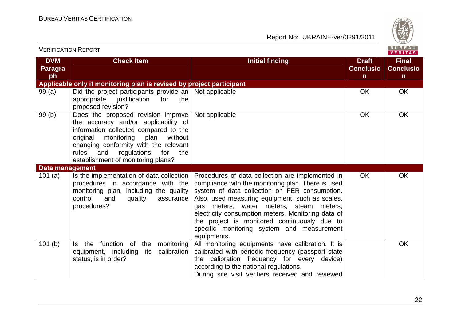

| <b>VERIFICATION REPORT</b>         |                                                                                                                                                                                                                                                                                              |                                                                                                                                                                                                                                                                                                                                                                                                                          |                                                  | BUREAU<br><b>VERITAS</b>                         |
|------------------------------------|----------------------------------------------------------------------------------------------------------------------------------------------------------------------------------------------------------------------------------------------------------------------------------------------|--------------------------------------------------------------------------------------------------------------------------------------------------------------------------------------------------------------------------------------------------------------------------------------------------------------------------------------------------------------------------------------------------------------------------|--------------------------------------------------|--------------------------------------------------|
| <b>DVM</b><br><b>Paragra</b><br>ph | <b>Check Item</b>                                                                                                                                                                                                                                                                            | <b>Initial finding</b>                                                                                                                                                                                                                                                                                                                                                                                                   | <b>Draft</b><br><b>Conclusio</b><br>$\mathsf{n}$ | <b>Final</b><br><b>Conclusio</b><br>$\mathsf{n}$ |
|                                    | Applicable only if monitoring plan is revised by project participant                                                                                                                                                                                                                         |                                                                                                                                                                                                                                                                                                                                                                                                                          |                                                  |                                                  |
| 99(a)                              | Did the project participants provide an $\vert$ Not applicable<br>appropriate<br>justification<br>the<br>for<br>proposed revision?                                                                                                                                                           |                                                                                                                                                                                                                                                                                                                                                                                                                          | <b>OK</b>                                        | <b>OK</b>                                        |
| 99(b)                              | Does the proposed revision improve<br>the accuracy and/or applicability of<br>information collected compared to the<br>monitoring<br>without<br>original<br>plan<br>changing conformity with the relevant<br>rules<br>regulations<br>and<br>for<br>the<br>establishment of monitoring plans? | Not applicable                                                                                                                                                                                                                                                                                                                                                                                                           | <b>OK</b>                                        | OK                                               |
| Data management                    |                                                                                                                                                                                                                                                                                              |                                                                                                                                                                                                                                                                                                                                                                                                                          |                                                  |                                                  |
| 101 $(a)$                          | Is the implementation of data collection<br>procedures in accordance with the<br>monitoring plan, including the quality<br>control<br>and<br>quality<br>assurance<br>procedures?                                                                                                             | Procedures of data collection are implemented in<br>compliance with the monitoring plan. There is used<br>system of data collection on FER consumption.<br>Also, used measuring equipment, such as scales,<br>gas meters, water meters, steam meters,<br>electricity consumption meters. Monitoring data of<br>the project is monitored continuously due to<br>specific monitoring system and measurement<br>equipments. | <b>OK</b>                                        | OK                                               |
| 101(b)                             | function of<br>the<br>monitoring<br>Is the<br>calibration<br>equipment, including<br>its<br>status, is in order?                                                                                                                                                                             | All monitoring equipments have calibration. It is<br>calibrated with periodic frequency (passport state<br>the calibration frequency for every device)<br>according to the national regulations.<br>During site visit verifiers received and reviewed                                                                                                                                                                    |                                                  | OK                                               |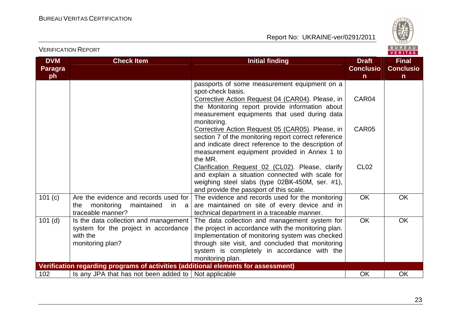

| <b>DVM</b> | <b>Check Item</b>                                                                  | <b>Initial finding</b>                                                                                 | <b>Draft</b>     | <b>Final</b>     |
|------------|------------------------------------------------------------------------------------|--------------------------------------------------------------------------------------------------------|------------------|------------------|
| Paragra    |                                                                                    |                                                                                                        | <b>Conclusio</b> | <b>Conclusio</b> |
| ph         |                                                                                    |                                                                                                        | n.               | $\mathsf{n}$     |
|            |                                                                                    | passports of some measurement equipment on a                                                           |                  |                  |
|            |                                                                                    | spot-check basis.                                                                                      |                  |                  |
|            |                                                                                    | Corrective Action Request 04 (CAR04). Please, in                                                       | CAR04            |                  |
|            |                                                                                    | the Monitoring report provide information about                                                        |                  |                  |
|            |                                                                                    | measurement equipments that used during data                                                           |                  |                  |
|            |                                                                                    | monitoring.                                                                                            |                  |                  |
|            |                                                                                    | Corrective Action Request 05 (CAR05). Please, in                                                       | CAR05            |                  |
|            |                                                                                    | section 7 of the monitoring report correct reference                                                   |                  |                  |
|            |                                                                                    | and indicate direct reference to the description of                                                    |                  |                  |
|            |                                                                                    | measurement equipment provided in Annex 1 to                                                           |                  |                  |
|            |                                                                                    | the MR.                                                                                                |                  |                  |
|            |                                                                                    | Clarification Request 02 (CL02). Please, clarify                                                       | CL <sub>02</sub> |                  |
|            |                                                                                    | and explain a situation connected with scale for                                                       |                  |                  |
|            |                                                                                    | weighing steel slabs (type 02BK-450M, ser. #1),                                                        |                  |                  |
|            |                                                                                    | and provide the passport of this scale.                                                                |                  |                  |
| 101 (c)    | Are the evidence and records used for                                              | The evidence and records used for the monitoring                                                       | <b>OK</b>        | <b>OK</b>        |
|            | monitoring<br>maintained<br>the<br>in<br>- a<br>traceable manner?                  | are maintained on site of every device and in                                                          |                  |                  |
|            |                                                                                    | technical department in a traceable manner.                                                            | <b>OK</b>        | OK               |
| $101$ (d)  | Is the data collection and management                                              | The data collection and management system for                                                          |                  |                  |
|            | system for the project in accordance<br>with the                                   | the project in accordance with the monitoring plan.<br>Implementation of monitoring system was checked |                  |                  |
|            |                                                                                    |                                                                                                        |                  |                  |
|            | monitoring plan?                                                                   | through site visit, and concluded that monitoring<br>system is completely in accordance with the       |                  |                  |
|            |                                                                                    | monitoring plan.                                                                                       |                  |                  |
|            | Verification regarding programs of activities (additional elements for assessment) |                                                                                                        |                  |                  |
| 102        | Is any JPA that has not been added to $\vert$ Not applicable                       |                                                                                                        | OK               | <b>OK</b>        |
|            |                                                                                    |                                                                                                        |                  |                  |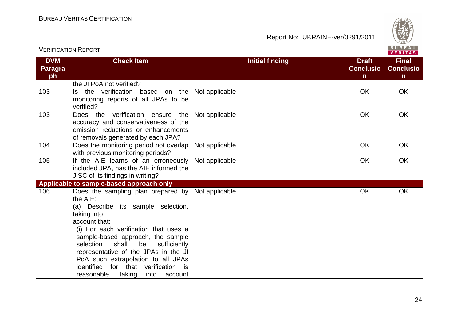

| <b>VERIFICATION REPORT</b>         |                                                                                                                                                                                                                                                                                                                                                                                                              |                        |                                                  | BUREAU<br>VERITAS                                |
|------------------------------------|--------------------------------------------------------------------------------------------------------------------------------------------------------------------------------------------------------------------------------------------------------------------------------------------------------------------------------------------------------------------------------------------------------------|------------------------|--------------------------------------------------|--------------------------------------------------|
| <b>DVM</b><br><b>Paragra</b><br>ph | <b>Check Item</b>                                                                                                                                                                                                                                                                                                                                                                                            | <b>Initial finding</b> | <b>Draft</b><br><b>Conclusio</b><br>$\mathsf{n}$ | <b>Final</b><br><b>Conclusio</b><br>$\mathsf{n}$ |
|                                    | the JI PoA not verified?                                                                                                                                                                                                                                                                                                                                                                                     |                        |                                                  |                                                  |
| 103                                | Is the verification based on the<br>monitoring reports of all JPAs to be<br>verified?                                                                                                                                                                                                                                                                                                                        | Not applicable         | <b>OK</b>                                        | OK                                               |
| 103                                | verification<br>Does the<br>the<br>ensure<br>accuracy and conservativeness of the<br>emission reductions or enhancements<br>of removals generated by each JPA?                                                                                                                                                                                                                                               | Not applicable         | OK                                               | OK                                               |
| 104                                | Does the monitoring period not overlap<br>with previous monitoring periods?                                                                                                                                                                                                                                                                                                                                  | Not applicable         | <b>OK</b>                                        | OK                                               |
| 105                                | If the AIE learns of an erroneously<br>included JPA, has the AIE informed the<br>JISC of its findings in writing?                                                                                                                                                                                                                                                                                            | Not applicable         | OK                                               | OK                                               |
|                                    | Applicable to sample-based approach only                                                                                                                                                                                                                                                                                                                                                                     |                        |                                                  |                                                  |
| 106                                | Does the sampling plan prepared by<br>the AIE:<br>(a) Describe its sample selection,<br>taking into<br>account that:<br>(i) For each verification that uses a<br>sample-based approach, the sample<br>shall<br>be<br>sufficiently<br>selection<br>representative of the JPAs in the JI<br>PoA such extrapolation to all JPAs<br>identified<br>for that verification is<br>reasonable, taking<br>into account | Not applicable         | <b>OK</b>                                        | OK                                               |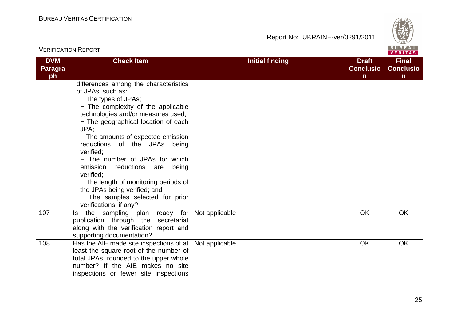

| <b>VERIFICATION REPORT</b>  |                                                                                                                                                                                                                                                                                                                                                                                                                                                                                                                                  |                        |                                       | BUREAU<br><b>VERITAS</b>                         |
|-----------------------------|----------------------------------------------------------------------------------------------------------------------------------------------------------------------------------------------------------------------------------------------------------------------------------------------------------------------------------------------------------------------------------------------------------------------------------------------------------------------------------------------------------------------------------|------------------------|---------------------------------------|--------------------------------------------------|
| <b>DVM</b><br>Paragra<br>ph | <b>Check Item</b>                                                                                                                                                                                                                                                                                                                                                                                                                                                                                                                | <b>Initial finding</b> | <b>Draft</b><br><b>Conclusio</b><br>n | <b>Final</b><br><b>Conclusio</b><br>$\mathsf{n}$ |
|                             | differences among the characteristics<br>of JPAs, such as:<br>- The types of JPAs;<br>- The complexity of the applicable<br>technologies and/or measures used;<br>- The geographical location of each<br>JPA:<br>- The amounts of expected emission<br>reductions of the JPAs being<br>verified:<br>- The number of JPAs for which<br>emission<br>reductions<br>are<br>being<br>verified:<br>- The length of monitoring periods of<br>the JPAs being verified; and<br>- The samples selected for prior<br>verifications, if any? |                        |                                       |                                                  |
| 107                         | the sampling plan ready for<br>ls.<br>publication through the secretariat<br>along with the verification report and<br>supporting documentation?                                                                                                                                                                                                                                                                                                                                                                                 | Not applicable         | <b>OK</b>                             | <b>OK</b>                                        |
| 108                         | Has the AIE made site inspections of at $ $<br>least the square root of the number of<br>total JPAs, rounded to the upper whole<br>number? If the AIE makes no site<br>inspections or fewer site inspections                                                                                                                                                                                                                                                                                                                     | Not applicable         | <b>OK</b>                             | OK                                               |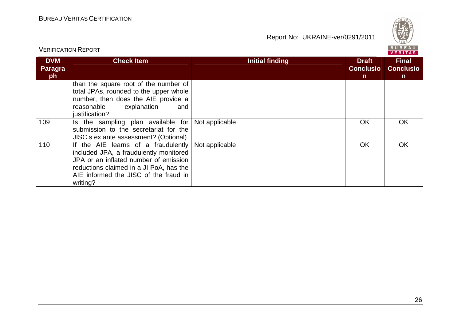

|                             | <b>VERIFICATION REPORT</b>                                                                                                                                                                                             |                        |                                       | BUREAU<br><b>VERITAS</b>                        |  |
|-----------------------------|------------------------------------------------------------------------------------------------------------------------------------------------------------------------------------------------------------------------|------------------------|---------------------------------------|-------------------------------------------------|--|
| <b>DVM</b><br>Paragra<br>ph | <b>Check Item</b>                                                                                                                                                                                                      | <b>Initial finding</b> | <b>Draft</b><br><b>Conclusio</b><br>n | <b>Final</b><br><b>Conclusio</b><br>$\mathbf n$ |  |
|                             | than the square root of the number of<br>total JPAs, rounded to the upper whole<br>number, then does the AIE provide a<br>explanation<br>reasonable<br>and<br>justification?                                           |                        |                                       |                                                 |  |
| 109                         | the sampling plan available for<br>Is.<br>submission to the secretariat for the<br>JISC.s ex ante assessment? (Optional)                                                                                               | Not applicable         | <b>OK</b>                             | OK                                              |  |
| 110                         | If the AIE learns of a fraudulently<br>included JPA, a fraudulently monitored<br>JPA or an inflated number of emission<br>reductions claimed in a JI PoA, has the<br>AIE informed the JISC of the fraud in<br>writing? | Not applicable         | <b>OK</b>                             | <b>OK</b>                                       |  |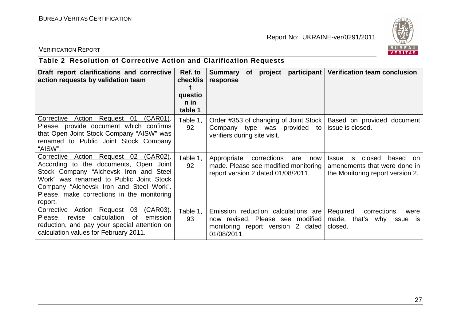

#### VERIFICATION REPORT

# **Table 2 Resolution of Corrective Action and Clarification Requests**

| Draft report clarifications and corrective<br>action requests by validation team                                                                                                                                                                                         | Ref. to<br><b>checklis</b><br>questio<br>n in<br>table 1 | participant   Verification team conclusion<br>project<br>Summary<br><b>of</b><br>response                                                                                                                                            |
|--------------------------------------------------------------------------------------------------------------------------------------------------------------------------------------------------------------------------------------------------------------------------|----------------------------------------------------------|--------------------------------------------------------------------------------------------------------------------------------------------------------------------------------------------------------------------------------------|
| Corrective<br>Action Request 01<br>(CAR01).<br>Please, provide document which confirms<br>that Open Joint Stock Company "AISW" was<br>renamed to Public Joint Stock Company<br>"AISW".                                                                                   | Table 1,<br>92                                           | Order #353 of changing of Joint Stock<br>Based on provided document<br>issue is closed.<br>Company type was<br>provided to<br>verifiers during site visit.                                                                           |
| Corrective Action Request 02 (CAR02).<br>According to the documents, Open Joint<br>Stock Company "Alchevsk Iron and Steel<br>Work" was renamed to Public Joint Stock<br>Company "Alchevsk Iron and Steel Work".<br>Please, make corrections in the monitoring<br>report. | Table 1,<br>92                                           | corrections<br>closed<br>Appropriate<br>based<br>are<br>now<br>Issue<br>is.<br>on.<br>made. Please see modified monitoring<br>amendments that were done in<br>report version 2 dated 01/08/2011.<br>the Monitoring report version 2. |
| Corrective Action Request<br>(CAR03).<br>03<br>calculation<br>of<br>Please, revise<br>emission<br>reduction, and pay your special attention on<br>calculation values for February 2011.                                                                                  | Table 1,<br>93                                           | Emission reduction calculations are<br>Required<br>corrections<br>were<br>now revised. Please see modified<br>made, that's why issue is<br>monitoring report version 2 dated<br>closed.<br>01/08/2011.                               |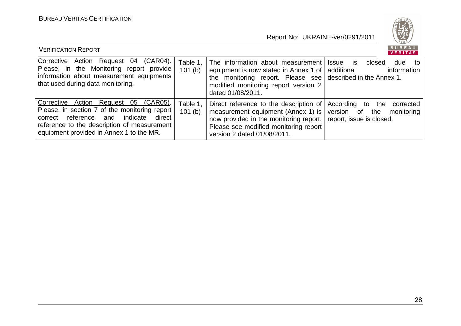

| <b>VERIFICATION REPORT</b>                                                                                                                                                                                                          |                    |                                                                                                                                                                                                                  | BUREAU<br>VERITAS                                                                            |
|-------------------------------------------------------------------------------------------------------------------------------------------------------------------------------------------------------------------------------------|--------------------|------------------------------------------------------------------------------------------------------------------------------------------------------------------------------------------------------------------|----------------------------------------------------------------------------------------------|
| Corrective Action Request 04<br>(CAR04).<br>Please, in the Monitoring report provide<br>information about measurement equipments<br>that used during data monitoring.                                                               | Table 1,<br>101(b) | The information about measurement<br>equipment is now stated in Annex 1 of  <br>the monitoring report. Please see $\vert$ described in the Annex 1.<br>modified monitoring report version 2<br>dated 01/08/2011. | <b>Issue</b><br>closed<br>due<br><b>IS</b><br>to<br>additional<br>information                |
| Corrective Action Request 05 (CAR05).<br>Please, in section 7 of the monitoring report<br>reference and<br>indicate<br>direct<br>correct<br>reference to the description of measurement<br>equipment provided in Annex 1 to the MR. | Table 1,<br>101(b) | Direct reference to the description of<br>measurement equipment (Annex 1) is<br>now provided in the monitoring report.<br>Please see modified monitoring report<br>version 2 dated 01/08/2011.                   | According to<br>corrected<br>the<br>version of the<br>monitoring<br>report, issue is closed. |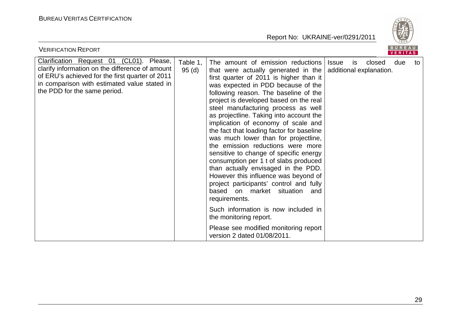

| <b>VERIFICATION REPORT</b>                                                                                                                                                                                                     |                   |                                                                                                                                                                                                                                                                                                                                                                                                                                                                                                                                                                                                                                                                                                                                                                                                                                                                                                                  |              |           |                                   | <b>BUREAU</b><br>VERITAS |    |
|--------------------------------------------------------------------------------------------------------------------------------------------------------------------------------------------------------------------------------|-------------------|------------------------------------------------------------------------------------------------------------------------------------------------------------------------------------------------------------------------------------------------------------------------------------------------------------------------------------------------------------------------------------------------------------------------------------------------------------------------------------------------------------------------------------------------------------------------------------------------------------------------------------------------------------------------------------------------------------------------------------------------------------------------------------------------------------------------------------------------------------------------------------------------------------------|--------------|-----------|-----------------------------------|--------------------------|----|
| Clarification Request 01 (CL01). Please,<br>clarify information on the difference of amount<br>of ERU's achieved for the first quarter of 2011<br>in comparison with estimated value stated in<br>the PDD for the same period. | Table 1,<br>95(d) | The amount of emission reductions<br>that were actually generated in the<br>first quarter of 2011 is higher than it<br>was expected in PDD because of the<br>following reason. The baseline of the<br>project is developed based on the real<br>steel manufacturing process as well<br>as projectline. Taking into account the<br>implication of economy of scale and<br>the fact that loading factor for baseline<br>was much lower than for projectline,<br>the emission reductions were more<br>sensitive to change of specific energy<br>consumption per 1 t of slabs produced<br>than actually envisaged in the PDD.<br>However this influence was beyond of<br>project participants' control and fully<br>based<br>on market<br>situation<br>and<br>requirements.<br>Such information is now included in<br>the monitoring report.<br>Please see modified monitoring report<br>version 2 dated 01/08/2011. | <b>Issue</b> | <b>is</b> | closed<br>additional explanation. | due                      | to |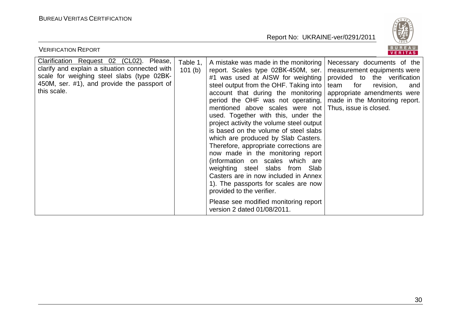

| BUREAU<br><b>VERIFICATION REPORT</b><br><b>VERITAS</b>                                                                                                                                                 |                    |                                                                                                                                                                                                                                                                                                                                                                                                                                                                                                                                                                                                                                                                                                                                                                                                                                                                             |                                                                                                                             |  |  |  |
|--------------------------------------------------------------------------------------------------------------------------------------------------------------------------------------------------------|--------------------|-----------------------------------------------------------------------------------------------------------------------------------------------------------------------------------------------------------------------------------------------------------------------------------------------------------------------------------------------------------------------------------------------------------------------------------------------------------------------------------------------------------------------------------------------------------------------------------------------------------------------------------------------------------------------------------------------------------------------------------------------------------------------------------------------------------------------------------------------------------------------------|-----------------------------------------------------------------------------------------------------------------------------|--|--|--|
| Clarification Request 02 (CL02). Please,<br>clarify and explain a situation connected with<br>scale for weighing steel slabs (type 02BK-<br>450M, ser. #1), and provide the passport of<br>this scale. | Table 1.<br>101(b) | A mistake was made in the monitoring<br>report. Scales type 02BK-450M, ser.<br>#1 was used at AISW for weighting provided to the verification<br>steel output from the OHF. Taking into<br>account that during the monitoring<br>period the OHF was not operating,   made in the Monitoring report.<br>mentioned above scales were not Thus, issue is closed.<br>used. Together with this, under the<br>project activity the volume steel output<br>is based on the volume of steel slabs<br>which are produced by Slab Casters.<br>Therefore, appropriate corrections are<br>now made in the monitoring report<br>(information on scales which are<br>weighting steel slabs from Slab<br>Casters are in now included in Annex<br>1). The passports for scales are now<br>provided to the verifier.<br>Please see modified monitoring report<br>version 2 dated 01/08/2011. | Necessary documents of the<br>measurement equipments were<br>for<br>team<br>revision,<br>and<br>appropriate amendments were |  |  |  |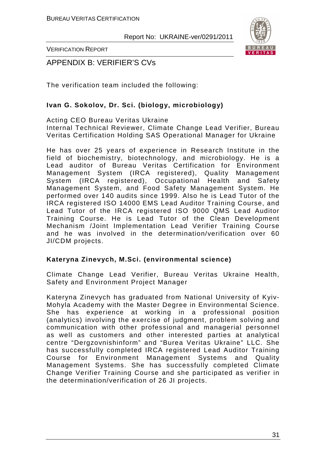

VERIFICATION REPORT

APPENDIX B: VERIFIER'S CVs

The verification team included the following:

#### **Ivan G. Sokolov, Dr. Sci. (biology, microbiology)**

Acting CEO Bureau Veritas Ukraine Internal Technical Reviewer, Climate Change Lead Verifier, Bureau Veritas Certification Holding SAS Operational Manager for Ukraine

He has over 25 years of experience in Research Institute in the field of biochemistry, biotechnology, and microbiology. He is a Lead auditor of Bureau Veritas Certification for Environment Management System (IRCA registered), Quality Management System (IRCA registered), Occupational Health and Safety Management System, and Food Safety Management System. He performed over 140 audits since 1999. Also he is Lead Tutor of the IRCA registered ISO 14000 EMS Lead Auditor Training Course, and Lead Tutor of the IRCA registered ISO 9000 QMS Lead Auditor Training Course. He is Lead Tutor of the Clean Development Mechanism /Joint Implementation Lead Verifier Training Course and he was involved in the determination/verification over 60 JI/CDM projects.

#### **Kateryna Zinevych, M.Sci. (environmental science)**

Climate Change Lead Verifier, Bureau Veritas Ukraine Health, Safety and Environment Project Manager

Kateryna Zinevych has graduated from National University of Kyiv-Mohyla Academy with the Master Degree in Environmental Science. She has experience at working in a professional position (analytics) involving the exercise of judgment, problem solving and communication with other professional and managerial personnel as well as customers and other interested parties at analytical centre "Dergzovnishinform" and "Burea Veritas Ukraine" LLC. She has successfully completed IRCA registered Lead Auditor Training Course for Environment Management Systems and Quality Management Systems. She has successfully completed Climate Change Verifier Training Course and she participated as verifier in the determination/verification of 26 JI projects.